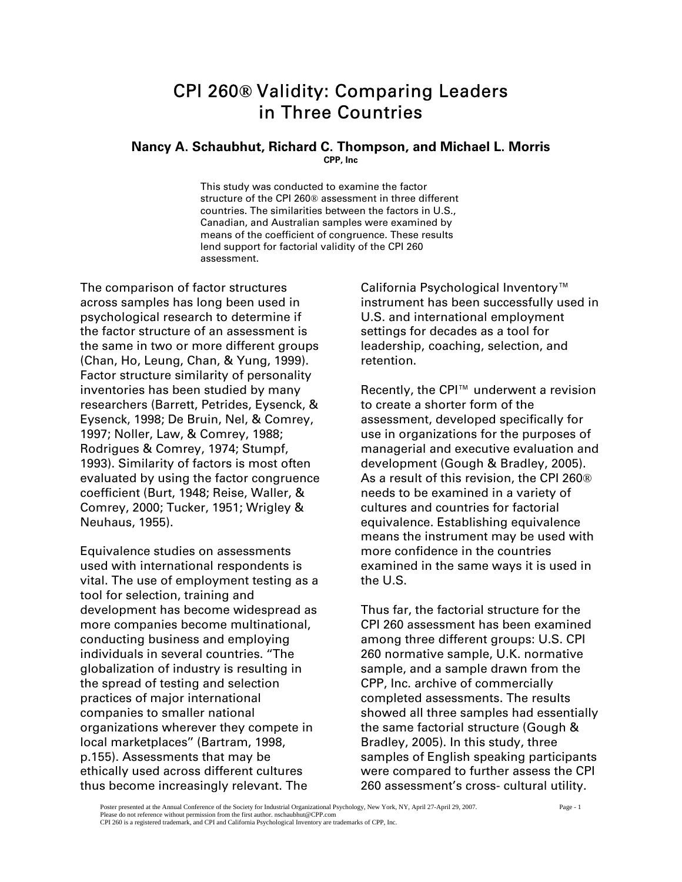# CPI 260**®** Validity: Comparing Leaders in Three Countries

### **Nancy A. Schaubhut, Richard C. Thompson, and Michael L. Morris CPP, Inc**

This study was conducted to examine the factor structure of the CPI 260® assessment in three different countries. The similarities between the factors in U.S., Canadian, and Australian samples were examined by means of the coefficient of congruence. These results lend support for factorial validity of the CPI 260 assessment.

The comparison of factor structures across samples has long been used in psychological research to determine if the factor structure of an assessment is the same in two or more different groups (Chan, Ho, Leung, Chan, & Yung, 1999). Factor structure similarity of personality inventories has been studied by many researchers (Barrett, Petrides, Eysenck, & Eysenck, 1998; De Bruin, Nel, & Comrey, 1997; Noller, Law, & Comrey, 1988; Rodrigues & Comrey, 1974; Stumpf, 1993). Similarity of factors is most often evaluated by using the factor congruence coefficient (Burt, 1948; Reise, Waller, & Comrey, 2000; Tucker, 1951; Wrigley & Neuhaus, 1955).

Equivalence studies on assessments used with international respondents is vital. The use of employment testing as a tool for selection, training and development has become widespread as more companies become multinational, conducting business and employing individuals in several countries. ''The globalization of industry is resulting in the spread of testing and selection practices of major international companies to smaller national organizations wherever they compete in local marketplaces'' (Bartram, 1998, p.155). Assessments that may be ethically used across different cultures thus become increasingly relevant. The

California Psychological Inventory™ instrument has been successfully used in U.S. and international employment settings for decades as a tool for leadership, coaching, selection, and retention.

Recently, the CPI™ underwent a revision to create a shorter form of the assessment, developed specifically for use in organizations for the purposes of managerial and executive evaluation and development (Gough & Bradley, 2005). As a result of this revision, the CPI 260® needs to be examined in a variety of cultures and countries for factorial equivalence. Establishing equivalence means the instrument may be used with more confidence in the countries examined in the same ways it is used in the U.S.

Thus far, the factorial structure for the CPI 260 assessment has been examined among three different groups: U.S. CPI 260 normative sample, U.K. normative sample, and a sample drawn from the CPP, Inc. archive of commercially completed assessments. The results showed all three samples had essentially the same factorial structure (Gough & Bradley, 2005). In this study, three samples of English speaking participants were compared to further assess the CPI 260 assessment's cross- cultural utility.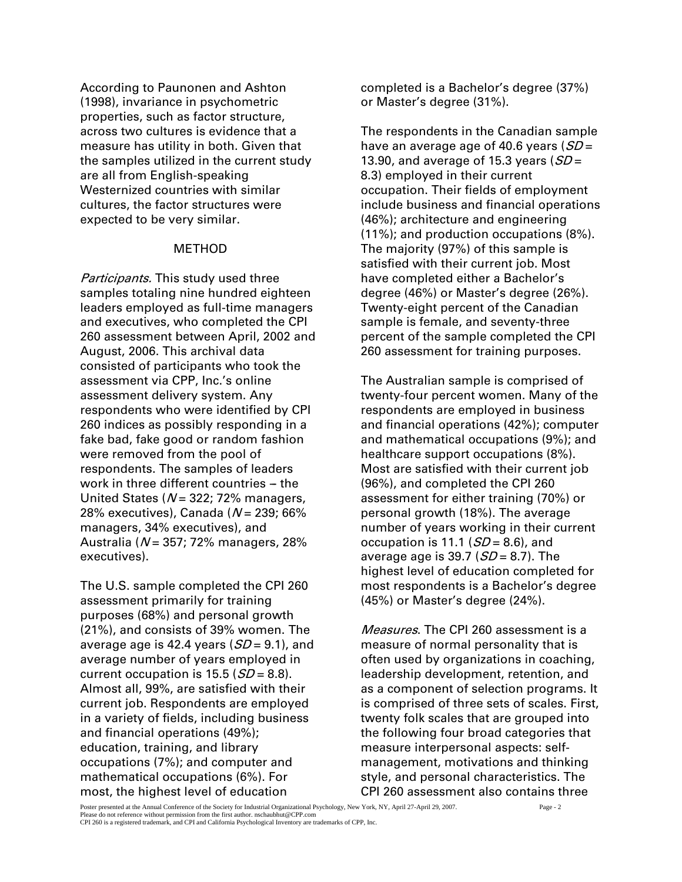According to Paunonen and Ashton (1998), invariance in psychometric properties, such as factor structure, across two cultures is evidence that a measure has utility in both. Given that the samples utilized in the current study are all from English-speaking Westernized countries with similar cultures, the factor structures were expected to be very similar.

# METHOD

Participants. This study used three samples totaling nine hundred eighteen leaders employed as full-time managers and executives, who completed the CPI 260 assessment between April, 2002 and August, 2006. This archival data consisted of participants who took the assessment via CPP, Inc.'s online assessment delivery system. Any respondents who were identified by CPI 260 indices as possibly responding in a fake bad, fake good or random fashion were removed from the pool of respondents. The samples of leaders work in three different countries  $-$  the United States ( $N = 322$ ; 72% managers, 28% executives), Canada ( $N = 239$ ; 66% managers, 34% executives), and Australia ( $N = 357$ ; 72% managers, 28% executives).

The U.S. sample completed the CPI 260 assessment primarily for training purposes (68%) and personal growth (21%), and consists of 39% women. The average age is 42.4 years  $(SD = 9.1)$ , and average number of years employed in current occupation is  $15.5$  ( $SD = 8.8$ ). Almost all, 99%, are satisfied with their current job. Respondents are employed in a variety of fields, including business and financial operations (49%); education, training, and library occupations (7%); and computer and mathematical occupations (6%). For most, the highest level of education

completed is a Bachelor's degree (37%) or Master's degree (31%).

The respondents in the Canadian sample have an average age of 40.6 years  $(SD =$ 13.90, and average of 15.3 years  $(SD =$ 8.3) employed in their current occupation. Their fields of employment include business and financial operations (46%); architecture and engineering (11%); and production occupations (8%). The majority (97%) of this sample is satisfied with their current job. Most have completed either a Bachelor's degree (46%) or Master's degree (26%). Twenty-eight percent of the Canadian sample is female, and seventy-three percent of the sample completed the CPI 260 assessment for training purposes.

The Australian sample is comprised of twenty-four percent women. Many of the respondents are employed in business and financial operations (42%); computer and mathematical occupations (9%); and healthcare support occupations (8%). Most are satisfied with their current job (96%), and completed the CPI 260 assessment for either training (70%) or personal growth (18%). The average number of years working in their current occupation is 11.1 ( $SD = 8.6$ ), and average age is 39.7 ( $SD = 8.7$ ). The highest level of education completed for most respondents is a Bachelor's degree (45%) or Master's degree (24%).

Measures. The CPI 260 assessment is a measure of normal personality that is often used by organizations in coaching, leadership development, retention, and as a component of selection programs. It is comprised of three sets of scales. First, twenty folk scales that are grouped into the following four broad categories that measure interpersonal aspects: selfmanagement, motivations and thinking style, and personal characteristics. The CPI 260 assessment also contains three

Poster presented at the Annual Conference of the Society for Industrial Organizational Psychology, New York, NY, April 27-April 29, 2007. Page - 2 Please do not reference without permission from the first author. nschaubhut@CPP.com CPI 260 is a registered trademark, and CPI and California Psychological Inventory are trademarks of CPP, Inc.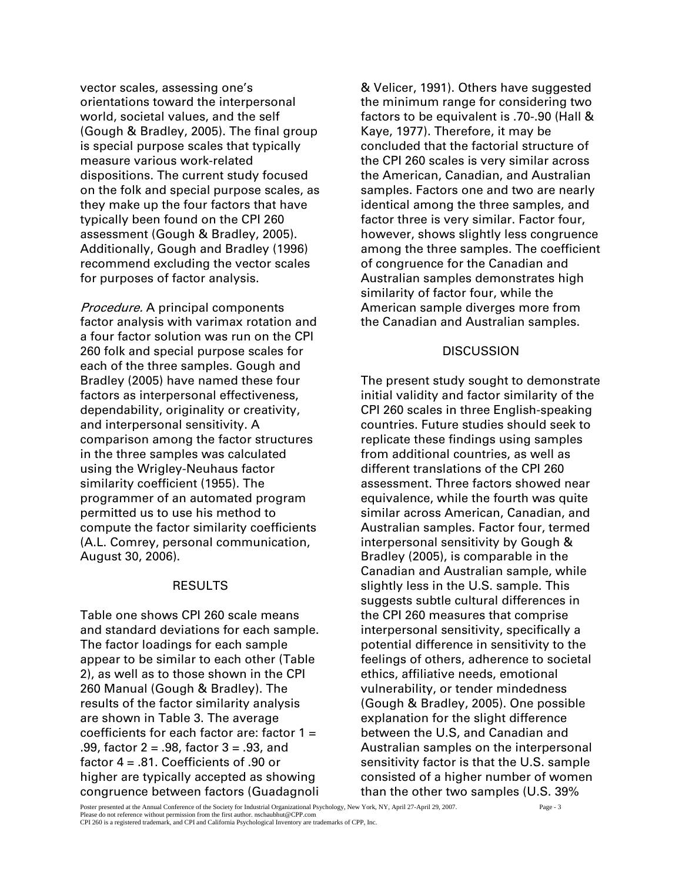vector scales, assessing one's orientations toward the interpersonal world, societal values, and the self (Gough & Bradley, 2005). The final group is special purpose scales that typically measure various work-related dispositions. The current study focused on the folk and special purpose scales, as they make up the four factors that have typically been found on the CPI 260 assessment (Gough & Bradley, 2005). Additionally, Gough and Bradley (1996) recommend excluding the vector scales for purposes of factor analysis.

Procedure. A principal components factor analysis with varimax rotation and a four factor solution was run on the CPI 260 folk and special purpose scales for each of the three samples. Gough and Bradley (2005) have named these four factors as interpersonal effectiveness, dependability, originality or creativity, and interpersonal sensitivity. A comparison among the factor structures in the three samples was calculated using the Wrigley-Neuhaus factor similarity coefficient (1955). The programmer of an automated program permitted us to use his method to compute the factor similarity coefficients (A.L. Comrey, personal communication, August 30, 2006).

### RESULTS

Table one shows CPI 260 scale means and standard deviations for each sample. The factor loadings for each sample appear to be similar to each other (Table 2), as well as to those shown in the CPI 260 Manual (Gough & Bradley). The results of the factor similarity analysis are shown in Table 3. The average coefficients for each factor are: factor  $1 =$ .99, factor 2 = .98, factor 3 = .93, and factor 4 = .81. Coefficients of .90 or higher are typically accepted as showing congruence between factors (Guadagnoli

& Velicer, 1991). Others have suggested the minimum range for considering two factors to be equivalent is .70-.90 (Hall & Kaye, 1977). Therefore, it may be concluded that the factorial structure of the CPI 260 scales is very similar across the American, Canadian, and Australian samples. Factors one and two are nearly identical among the three samples, and factor three is very similar. Factor four, however, shows slightly less congruence among the three samples. The coefficient of congruence for the Canadian and Australian samples demonstrates high similarity of factor four, while the American sample diverges more from the Canadian and Australian samples.

# **DISCUSSION**

The present study sought to demonstrate initial validity and factor similarity of the CPI 260 scales in three English-speaking countries. Future studies should seek to replicate these findings using samples from additional countries, as well as different translations of the CPI 260 assessment. Three factors showed near equivalence, while the fourth was quite similar across American, Canadian, and Australian samples. Factor four, termed interpersonal sensitivity by Gough & Bradley (2005), is comparable in the Canadian and Australian sample, while slightly less in the U.S. sample. This suggests subtle cultural differences in the CPI 260 measures that comprise interpersonal sensitivity, specifically a potential difference in sensitivity to the feelings of others, adherence to societal ethics, affiliative needs, emotional vulnerability, or tender mindedness (Gough & Bradley, 2005). One possible explanation for the slight difference between the U.S, and Canadian and Australian samples on the interpersonal sensitivity factor is that the U.S. sample consisted of a higher number of women than the other two samples (U.S. 39%

Poster presented at the Annual Conference of the Society for Industrial Organizational Psychology, New York, NY, April 27-April 29, 2007. Page - 3 Please do not reference without permission from the first author. nschaubhut@CPP.com

CPI 260 is a registered trademark, and CPI and California Psychological Inventory are trademarks of CPP, Inc.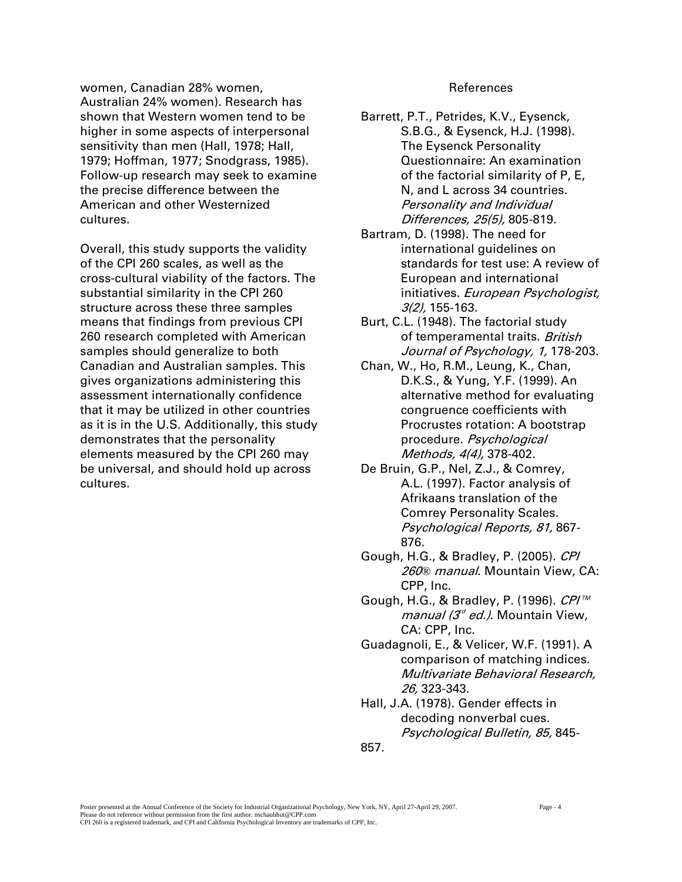women, Canadian 28% women, Australian 24% women). Research has shown that Western women tend to be higher in some aspects of interpersonal sensitivity than men (Hall, 1978; Hall, 1979; Hoffman, 1977; Snodgrass, 1985). Follow-up research may seek to examine the precise difference between the American and other Westernized cultures.

Overall, this study supports the validity of the CPI 260 scales, as well as the cross-cultural viability of the factors. The substantial similarity in the CPI 260 structure across these three samples means that findings from previous CPI 260 research completed with American samples should generalize to both Canadian and Australian samples. This gives organizations administering this assessment internationally confidence that it may be utilized in other countries as it is in the U.S. Additionally, this study demonstrates that the personality elements measured by the CPI 260 may be universal, and should hold up across cultures.

#### References

Barrett, P.T., Petrides, K.V., Eysenck, S.B.G., & Eysenck, H.J. (1998). The Eysenck Personality Questionnaire: An examination of the factorial similarity of P, E, N, and L across 34 countries. Personality and Individual Differences, 25(5), 805-819.

- Bartram, D. (1998). The need for international guidelines on standards for test use: A review of European and international initiatives. European Psychologist, 3(2), 155-163.
- Burt, C.L. (1948). The factorial study of temperamental traits. British Journal of Psychology, 1, 178-203.
- Chan, W., Ho, R.M., Leung, K., Chan, D.K.S., & Yung, Y.F. (1999). An alternative method for evaluating congruence coefficients with Procrustes rotation: A bootstrap procedure. Psychological Methods, 4(4), 378-402.
- De Bruin, G.P., Nel, Z.J., & Comrey, A.L. (1997). Factor analysis of Afrikaans translation of the Comrey Personality Scales. Psychological Reports, 81, 867- 876.
- Gough, H.G., & Bradley, P. (2005). CPI 260*®* manual. Mountain View, CA: CPP, Inc.
- Gough, H.G., & Bradley, P. (1996). CPI™ *manual (3<sup>d</sup> ed.)*. Mountain View, CA: CPP, Inc.
- Guadagnoli, E., & Velicer, W.F. (1991). A comparison of matching indices. Multivariate Behavioral Research, 26, 323-343.
- Hall, J.A. (1978). Gender effects in decoding nonverbal cues. Psychological Bulletin, 85, 845-
- 857.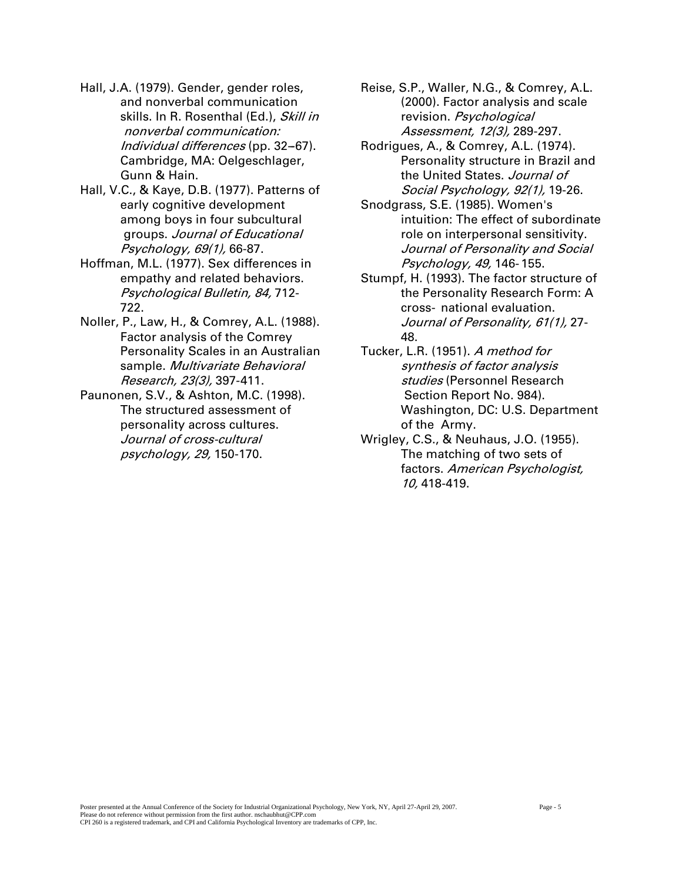- Hall, J.A. (1979). Gender, gender roles, and nonverbal communication skills. In R. Rosenthal (Ed.), Skill in nonverbal communication: Individual differences (pp. 32-67). Cambridge, MA: Oelgeschlager, Gunn & Hain.
- Hall, V.C., & Kaye, D.B. (1977). Patterns of early cognitive development among boys in four subcultural groups. Journal of Educational Psychology, 69(1), 66-87.
- Hoffman, M.L. (1977). Sex differences in empathy and related behaviors. Psychological Bulletin, 84, 712- 722.
- Noller, P., Law, H., & Comrey, A.L. (1988). Factor analysis of the Comrey Personality Scales in an Australian sample. Multivariate Behavioral Research, 23(3), 397-411.
- Paunonen, S.V., & Ashton, M.C. (1998). The structured assessment of personality across cultures. Journal of cross-cultural psychology, 29, 150-170.
- Reise, S.P., Waller, N.G., & Comrey, A.L. (2000). Factor analysis and scale revision. Psychological Assessment, 12(3), 289-297.
- Rodrigues, A., & Comrey, A.L. (1974). Personality structure in Brazil and the United States. Journal of Social Psychology, 92(1), 19-26.
- Snodgrass, S.E. (1985). Women's intuition: The effect of subordinate role on interpersonal sensitivity. Journal of Personality and Social Psychology, 49, 146- 155.
- Stumpf, H. (1993). The factor structure of the Personality Research Form: A cross- national evaluation. Journal of Personality, 61(1), 27- 48.
- Tucker, L.R. (1951). A method for synthesis of factor analysis studies (Personnel Research Section Report No. 984). Washington, DC: U.S. Department of the Army.
- Wrigley, C.S., & Neuhaus, J.O. (1955). The matching of two sets of factors. American Psychologist, 10, 418-419.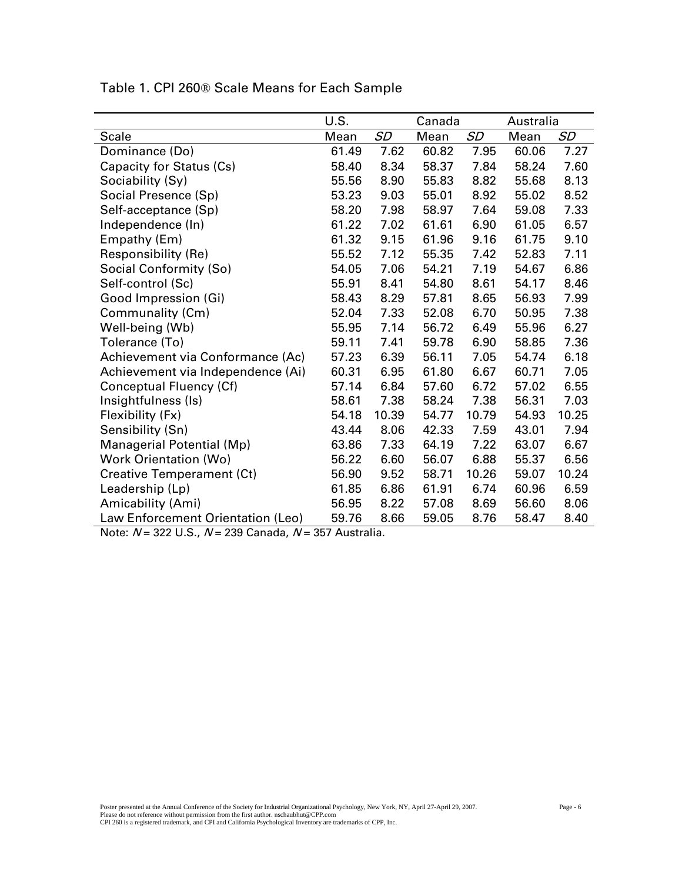|                                   | U.S.  | Canada    |       |           | Australia |           |  |
|-----------------------------------|-------|-----------|-------|-----------|-----------|-----------|--|
| <b>Scale</b>                      | Mean  | <b>SD</b> | Mean  | <b>SD</b> | Mean      | <b>SD</b> |  |
| Dominance (Do)                    | 61.49 | 7.62      | 60.82 | 7.95      | 60.06     | 7.27      |  |
| Capacity for Status (Cs)          | 58.40 | 8.34      | 58.37 | 7.84      | 58.24     | 7.60      |  |
| Sociability (Sy)                  | 55.56 | 8.90      | 55.83 | 8.82      | 55.68     | 8.13      |  |
| Social Presence (Sp)              | 53.23 | 9.03      | 55.01 | 8.92      | 55.02     | 8.52      |  |
| Self-acceptance (Sp)              | 58.20 | 7.98      | 58.97 | 7.64      | 59.08     | 7.33      |  |
| Independence (In)                 | 61.22 | 7.02      | 61.61 | 6.90      | 61.05     | 6.57      |  |
| Empathy (Em)                      | 61.32 | 9.15      | 61.96 | 9.16      | 61.75     | 9.10      |  |
| Responsibility (Re)               | 55.52 | 7.12      | 55.35 | 7.42      | 52.83     | 7.11      |  |
| Social Conformity (So)            | 54.05 | 7.06      | 54.21 | 7.19      | 54.67     | 6.86      |  |
| Self-control (Sc)                 | 55.91 | 8.41      | 54.80 | 8.61      | 54.17     | 8.46      |  |
| Good Impression (Gi)              | 58.43 | 8.29      | 57.81 | 8.65      | 56.93     | 7.99      |  |
| Communality (Cm)                  | 52.04 | 7.33      | 52.08 | 6.70      | 50.95     | 7.38      |  |
| Well-being (Wb)                   | 55.95 | 7.14      | 56.72 | 6.49      | 55.96     | 6.27      |  |
| Tolerance (To)                    | 59.11 | 7.41      | 59.78 | 6.90      | 58.85     | 7.36      |  |
| Achievement via Conformance (Ac)  | 57.23 | 6.39      | 56.11 | 7.05      | 54.74     | 6.18      |  |
| Achievement via Independence (Ai) | 60.31 | 6.95      | 61.80 | 6.67      | 60.71     | 7.05      |  |
| Conceptual Fluency (Cf)           | 57.14 | 6.84      | 57.60 | 6.72      | 57.02     | 6.55      |  |
| Insightfulness (Is)               | 58.61 | 7.38      | 58.24 | 7.38      | 56.31     | 7.03      |  |
| Flexibility (Fx)                  | 54.18 | 10.39     | 54.77 | 10.79     | 54.93     | 10.25     |  |
| Sensibility (Sn)                  | 43.44 | 8.06      | 42.33 | 7.59      | 43.01     | 7.94      |  |
| Managerial Potential (Mp)         | 63.86 | 7.33      | 64.19 | 7.22      | 63.07     | 6.67      |  |
| <b>Work Orientation (Wo)</b>      | 56.22 | 6.60      | 56.07 | 6.88      | 55.37     | 6.56      |  |
| <b>Creative Temperament (Ct)</b>  | 56.90 | 9.52      | 58.71 | 10.26     | 59.07     | 10.24     |  |
| Leadership (Lp)                   | 61.85 | 6.86      | 61.91 | 6.74      | 60.96     | 6.59      |  |
| Amicability (Ami)                 | 56.95 | 8.22      | 57.08 | 8.69      | 56.60     | 8.06      |  |
| Law Enforcement Orientation (Leo) | 59.76 | 8.66      | 59.05 | 8.76      | 58.47     | 8.40      |  |

Table 1. CPI 260® Scale Means for Each Sample

Note:  $N = 322$  U.S.,  $N = 239$  Canada,  $N = 357$  Australia.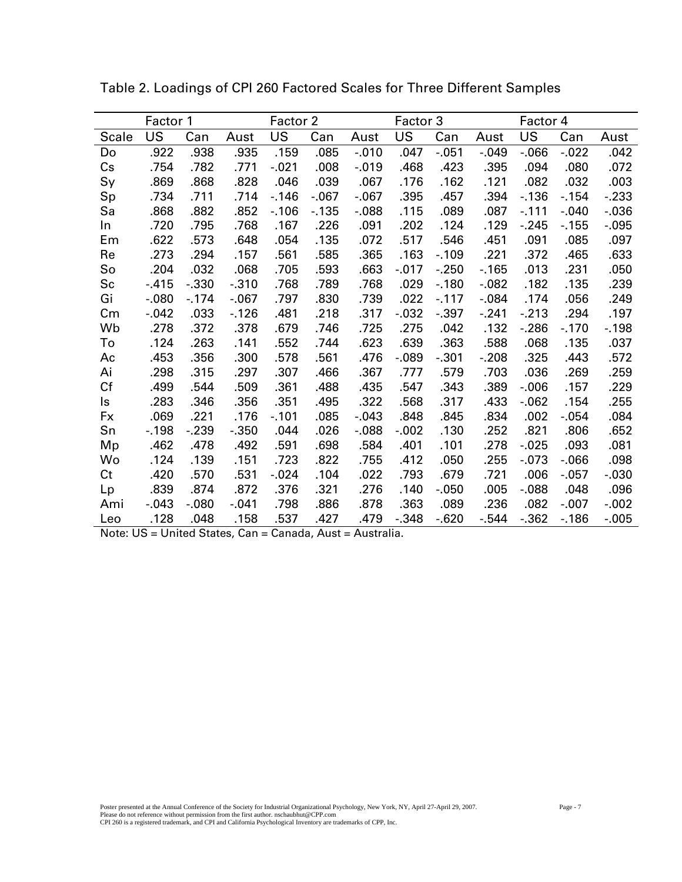| Factor 1     |         | Factor 2 |          |         |         | Factor 3 |           | Factor 4 |          |          |          |          |
|--------------|---------|----------|----------|---------|---------|----------|-----------|----------|----------|----------|----------|----------|
| <b>Scale</b> | US      | Can      | Aust     | US      | Can     | Aust     | <b>US</b> | Can      | Aust     | US       | Can      | Aust     |
| Do           | .922    | .938     | .935     | .159    | .085    | $-.010$  | .047      | $-0.051$ | $-.049$  | $-0.066$ | $-0.022$ | .042     |
| Cs           | .754    | .782     | .771     | $-.021$ | .008    | $-.019$  | .468      | .423     | .395     | .094     | .080     | .072     |
| Sy           | .869    | .868     | .828     | .046    | .039    | .067     | .176      | .162     | .121     | .082     | .032     | .003     |
| Sp           | .734    | .711     | .714     | $-146$  | $-0.67$ | $-067$   | .395      | .457     | .394     | $-136$   | $-154$   | $-233$   |
| Sa           | .868    | .882     | .852     | $-.106$ | $-135$  | $-0.088$ | .115      | .089     | .087     | $-.111$  | $-.040$  | $-0.036$ |
| In           | .720    | .795     | .768     | .167    | .226    | .091     | .202      | .124     | .129     | $-245$   | $-155$   | $-0.095$ |
| Em           | .622    | .573     | .648     | .054    | .135    | .072     | .517      | .546     | .451     | .091     | .085     | .097     |
| Re           | .273    | .294     | .157     | .561    | .585    | .365     | .163      | $-.109$  | .221     | .372     | .465     | .633     |
| So           | .204    | .032     | .068     | .705    | .593    | .663     | $-0.017$  | $-250$   | $-165$   | .013     | .231     | .050     |
| Sc           | $-415$  | $-0.330$ | $-0.310$ | .768    | .789    | .768     | .029      | $-.180$  | $-0.082$ | .182     | .135     | .239     |
| Gi           | $-080$  | $-174$   | $-.067$  | .797    | .830    | .739     | .022      | $-.117$  | $-0.084$ | .174     | .056     | .249     |
| $\,$ Cm      | $-.042$ | .033     | $-126$   | .481    | .218    | .317     | $-0.032$  | $-.397$  | $-.241$  | $-.213$  | .294     | .197     |
| Wb           | .278    | .372     | .378     | .679    | .746    | .725     | .275      | .042     | .132     | $-286$   | $-.170$  | $-198$   |
| To           | .124    | .263     | .141     | .552    | .744    | .623     | .639      | .363     | .588     | .068     | .135     | .037     |
| Ac           | .453    | .356     | .300     | .578    | .561    | .476     | $-0.089$  | $-0.301$ | $-208$   | .325     | .443     | .572     |
| Ai           | .298    | .315     | .297     | .307    | .466    | .367     | .777      | .579     | .703     | .036     | .269     | .259     |
| Cf           | .499    | .544     | .509     | .361    | .488    | .435     | .547      | .343     | .389     | $-0.006$ | .157     | .229     |
| ls           | .283    | .346     | .356     | .351    | .495    | .322     | .568      | .317     | .433     | $-062$   | .154     | .255     |
| Fx           | .069    | .221     | .176     | $-.101$ | .085    | $-0.043$ | .848      | .845     | .834     | .002     | $-0.054$ | .084     |
| Sn           | $-.198$ | $-239$   | $-0.350$ | .044    | .026    | $-0.088$ | $-0.002$  | .130     | .252     | .821     | .806     | .652     |
| Mp           | .462    | .478     | .492     | .591    | .698    | .584     | .401      | .101     | .278     | $-0.025$ | .093     | .081     |
| Wo           | .124    | .139     | .151     | .723    | .822    | .755     | .412      | .050     | .255     | $-0.073$ | $-0.066$ | .098     |
| Ct           | .420    | .570     | .531     | $-.024$ | .104    | .022     | .793      | .679     | .721     | .006     | $-0.057$ | $-.030$  |
| Lp           | .839    | .874     | .872     | .376    | .321    | .276     | .140      | $-0.050$ | .005     | $-0.088$ | .048     | .096     |
| Ami          | $-.043$ | $-080$   | $-.041$  | .798    | .886    | .878     | .363      | .089     | .236     | .082     | $-.007$  | $-0.002$ |
| Leo          | .128    | .048     | .158     | .537    | .427    | .479     | $-.348$   | $-0.620$ | $-.544$  | $-0.362$ | $-186$   | $-0.005$ |

Table 2. Loadings of CPI 260 Factored Scales for Three Different Samples

Note: US = United States, Can = Canada, Aust = Australia.